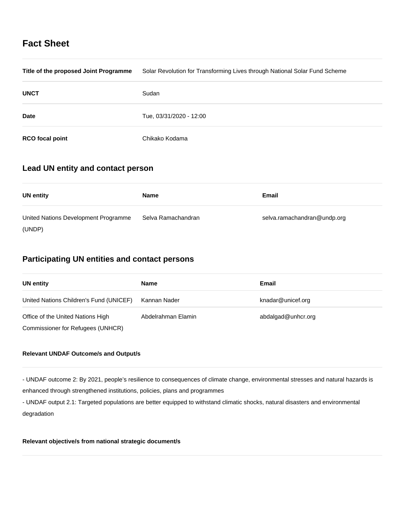# **Fact Sheet**

| Title of the proposed Joint Programme | Solar Revolution for Transforming Lives through National Solar Fund Scheme |
|---------------------------------------|----------------------------------------------------------------------------|
| <b>UNCT</b>                           | Sudan                                                                      |
| <b>Date</b>                           | Tue, 03/31/2020 - 12:00                                                    |
| <b>RCO</b> focal point                | Chikako Kodama                                                             |

## **Lead UN entity and contact person**

| UN entity                            | Name               | Email                       |
|--------------------------------------|--------------------|-----------------------------|
| United Nations Development Programme | Selva Ramachandran | selva.ramachandran@undp.org |
| (UNDP)                               |                    |                             |

# **Participating UN entities and contact persons**

| UN entity                               | <b>Name</b>        | Email              |
|-----------------------------------------|--------------------|--------------------|
| United Nations Children's Fund (UNICEF) | Kannan Nader       | knadar@unicef.org  |
| Office of the United Nations High       | Abdelrahman Elamin | abdalgad@unhcr.org |
| Commissioner for Refugees (UNHCR)       |                    |                    |

## **Relevant UNDAF Outcome/s and Output/s**

- UNDAF outcome 2: By 2021, people's resilience to consequences of climate change, environmental stresses and natural hazards is enhanced through strengthened institutions, policies, plans and programmes

- UNDAF output 2.1: Targeted populations are better equipped to withstand climatic shocks, natural disasters and environmental degradation

## **Relevant objective/s from national strategic document/s**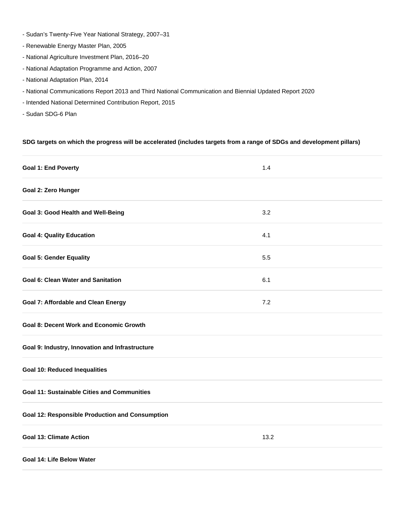- Sudan's Twenty-Five Year National Strategy, 2007–31
- Renewable Energy Master Plan, 2005
- National Agriculture Investment Plan, 2016–20
- National Adaptation Programme and Action, 2007
- National Adaptation Plan, 2014
- National Communications Report 2013 and Third National Communication and Biennial Updated Report 2020
- Intended National Determined Contribution Report, 2015
- Sudan SDG-6 Plan

### **SDG targets on which the progress will be accelerated (includes targets from a range of SDGs and development pillars)**

| <b>Goal 1: End Poverty</b>                             | 1.4  |
|--------------------------------------------------------|------|
| Goal 2: Zero Hunger                                    |      |
| <b>Goal 3: Good Health and Well-Being</b>              | 3.2  |
| <b>Goal 4: Quality Education</b>                       | 4.1  |
| <b>Goal 5: Gender Equality</b>                         | 5.5  |
| <b>Goal 6: Clean Water and Sanitation</b>              | 6.1  |
| <b>Goal 7: Affordable and Clean Energy</b>             | 7.2  |
| <b>Goal 8: Decent Work and Economic Growth</b>         |      |
| Goal 9: Industry, Innovation and Infrastructure        |      |
| <b>Goal 10: Reduced Inequalities</b>                   |      |
| <b>Goal 11: Sustainable Cities and Communities</b>     |      |
| <b>Goal 12: Responsible Production and Consumption</b> |      |
| <b>Goal 13: Climate Action</b>                         | 13.2 |
| Goal 14: Life Below Water                              |      |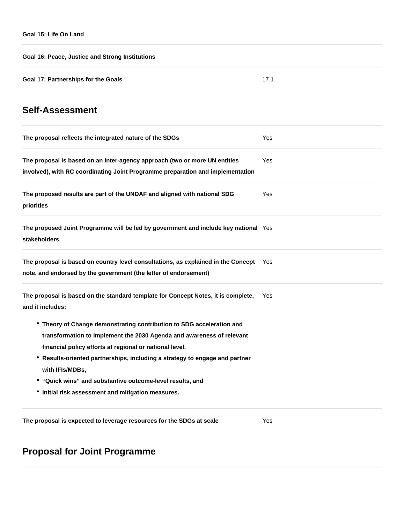**Goal 16: Peace, Justice and Strong Institutions Goal 17: Partnerships for the Goals** 17.1

# **Self-Assessment**

| The proposal reflects the integrated nature of the SDGs                                                                                                                                                                                                                                                                                                                                                                        | Yes |
|--------------------------------------------------------------------------------------------------------------------------------------------------------------------------------------------------------------------------------------------------------------------------------------------------------------------------------------------------------------------------------------------------------------------------------|-----|
| The proposal is based on an inter-agency approach (two or more UN entities<br>involved), with RC coordinating Joint Programme preparation and implementation                                                                                                                                                                                                                                                                   | Yes |
| The proposed results are part of the UNDAF and aligned with national SDG<br>priorities                                                                                                                                                                                                                                                                                                                                         | Yes |
| The proposed Joint Programme will be led by government and include key national Yes<br><b>stakeholders</b>                                                                                                                                                                                                                                                                                                                     |     |
| The proposal is based on country level consultations, as explained in the Concept Yes<br>note, and endorsed by the government (the letter of endorsement)                                                                                                                                                                                                                                                                      |     |
| The proposal is based on the standard template for Concept Notes, it is complete,<br>and it includes:                                                                                                                                                                                                                                                                                                                          | Yes |
| • Theory of Change demonstrating contribution to SDG acceleration and<br>transformation to implement the 2030 Agenda and awareness of relevant<br>financial policy efforts at regional or national level,<br>* Results-oriented partnerships, including a strategy to engage and partner<br>with IFIs/MDBs,<br>• "Quick wins" and substantive outcome-level results, and<br>• Initial risk assessment and mitigation measures. |     |
|                                                                                                                                                                                                                                                                                                                                                                                                                                |     |

# **Proposal for Joint Programme**

**The proposal is expected to leverage resources for the SDGs at scale** Yes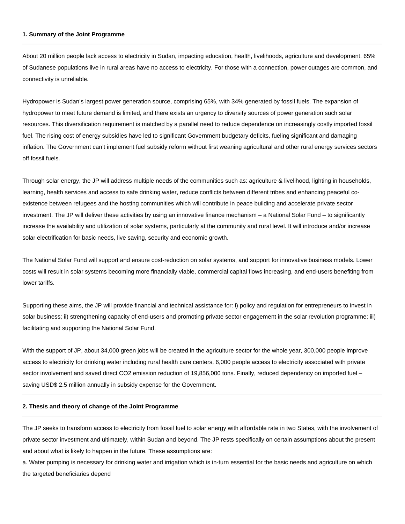#### **1. Summary of the Joint Programme**

About 20 million people lack access to electricity in Sudan, impacting education, health, livelihoods, agriculture and development. 65% of Sudanese populations live in rural areas have no access to electricity. For those with a connection, power outages are common, and connectivity is unreliable.

Hydropower is Sudan's largest power generation source, comprising 65%, with 34% generated by fossil fuels. The expansion of hydropower to meet future demand is limited, and there exists an urgency to diversify sources of power generation such solar resources. This diversification requirement is matched by a parallel need to reduce dependence on increasingly costly imported fossil fuel. The rising cost of energy subsidies have led to significant Government budgetary deficits, fueling significant and damaging inflation. The Government can't implement fuel subsidy reform without first weaning agricultural and other rural energy services sectors off fossil fuels.

Through solar energy, the JP will address multiple needs of the communities such as: agriculture & livelihood, lighting in households, learning, health services and access to safe drinking water, reduce conflicts between different tribes and enhancing peaceful coexistence between refugees and the hosting communities which will contribute in peace building and accelerate private sector investment. The JP will deliver these activities by using an innovative finance mechanism – a National Solar Fund – to significantly increase the availability and utilization of solar systems, particularly at the community and rural level. It will introduce and/or increase solar electrification for basic needs, live saving, security and economic growth.

The National Solar Fund will support and ensure cost-reduction on solar systems, and support for innovative business models. Lower costs will result in solar systems becoming more financially viable, commercial capital flows increasing, and end-users benefiting from lower tariffs.

Supporting these aims, the JP will provide financial and technical assistance for: i) policy and regulation for entrepreneurs to invest in solar business; ii) strengthening capacity of end-users and promoting private sector engagement in the solar revolution programme; iii) facilitating and supporting the National Solar Fund.

With the support of JP, about 34,000 green jobs will be created in the agriculture sector for the whole year, 300,000 people improve access to electricity for drinking water including rural health care centers, 6,000 people access to electricity associated with private sector involvement and saved direct CO2 emission reduction of 19,856,000 tons. Finally, reduced dependency on imported fuel – saving USD\$ 2.5 million annually in subsidy expense for the Government.

#### **2. Thesis and theory of change of the Joint Programme**

The JP seeks to transform access to electricity from fossil fuel to solar energy with affordable rate in two States, with the involvement of private sector investment and ultimately, within Sudan and beyond. The JP rests specifically on certain assumptions about the present and about what is likely to happen in the future. These assumptions are:

a. Water pumping is necessary for drinking water and irrigation which is in-turn essential for the basic needs and agriculture on which the targeted beneficiaries depend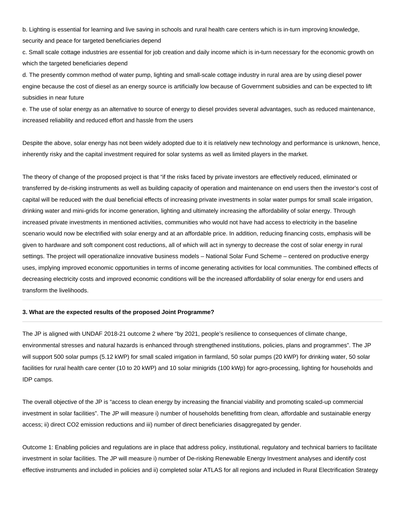b. Lighting is essential for learning and live saving in schools and rural health care centers which is in-turn improving knowledge, security and peace for targeted beneficiaries depend

c. Small scale cottage industries are essential for job creation and daily income which is in-turn necessary for the economic growth on which the targeted beneficiaries depend

d. The presently common method of water pump, lighting and small-scale cottage industry in rural area are by using diesel power engine because the cost of diesel as an energy source is artificially low because of Government subsidies and can be expected to lift subsidies in near future

e. The use of solar energy as an alternative to source of energy to diesel provides several advantages, such as reduced maintenance, increased reliability and reduced effort and hassle from the users

Despite the above, solar energy has not been widely adopted due to it is relatively new technology and performance is unknown, hence, inherently risky and the capital investment required for solar systems as well as limited players in the market.

The theory of change of the proposed project is that "if the risks faced by private investors are effectively reduced, eliminated or transferred by de-risking instruments as well as building capacity of operation and maintenance on end users then the investor's cost of capital will be reduced with the dual beneficial effects of increasing private investments in solar water pumps for small scale irrigation, drinking water and mini-grids for income generation, lighting and ultimately increasing the affordability of solar energy. Through increased private investments in mentioned activities, communities who would not have had access to electricity in the baseline scenario would now be electrified with solar energy and at an affordable price. In addition, reducing financing costs, emphasis will be given to hardware and soft component cost reductions, all of which will act in synergy to decrease the cost of solar energy in rural settings. The project will operationalize innovative business models – National Solar Fund Scheme – centered on productive energy uses, implying improved economic opportunities in terms of income generating activities for local communities. The combined effects of decreasing electricity costs and improved economic conditions will be the increased affordability of solar energy for end users and transform the livelihoods.

#### **3. What are the expected results of the proposed Joint Programme?**

The JP is aligned with UNDAF 2018-21 outcome 2 where "by 2021, people's resilience to consequences of climate change, environmental stresses and natural hazards is enhanced through strengthened institutions, policies, plans and programmes". The JP will support 500 solar pumps (5.12 kWP) for small scaled irrigation in farmland, 50 solar pumps (20 kWP) for drinking water, 50 solar facilities for rural health care center (10 to 20 kWP) and 10 solar minigrids (100 kWp) for agro-processing, lighting for households and IDP camps.

The overall objective of the JP is "access to clean energy by increasing the financial viability and promoting scaled-up commercial investment in solar facilities". The JP will measure i) number of households benefitting from clean, affordable and sustainable energy access; ii) direct CO2 emission reductions and iii) number of direct beneficiaries disaggregated by gender.

Outcome 1: Enabling policies and regulations are in place that address policy, institutional, regulatory and technical barriers to facilitate investment in solar facilities. The JP will measure i) number of De-risking Renewable Energy Investment analyses and identify cost effective instruments and included in policies and ii) completed solar ATLAS for all regions and included in Rural Electrification Strategy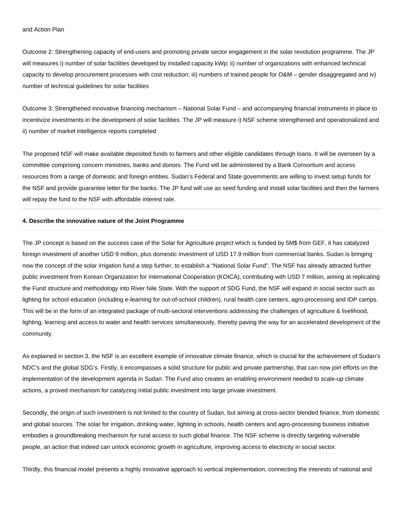Outcome 2: Strengthening capacity of end-users and promoting private sector engagement in the solar revolution programme. The JP will measures i) number of solar facilities developed by installed capacity kWp; ii) number of organizations with enhanced technical capacity to develop procurement processes with cost reduction; iii) numbers of trained people for O&M – gender disaggregated and iv) number of technical guidelines for solar facilities

Outcome 3: Strengthened innovative financing mechanism – National Solar Fund – and accompanying financial instruments in place to incentivize investments in the development of solar facilities. The JP will measure i) NSF scheme strengthened and operationalized and ii) number of market intelligence reports completed

The proposed NSF will make available deposited funds to farmers and other eligible candidates through loans. It will be overseen by a committee comprising concern ministries, banks and donors. The Fund will be administered by a Bank Consortium and access resources from a range of domestic and foreign entities. Sudan's Federal and State governments are willing to invest setup funds for the NSF and provide guarantee letter for the banks. The JP fund will use as seed funding and install solar facilities and then the farmers will repay the fund to the NSF with affordable interest rate.

#### **4. Describe the innovative nature of the Joint Programme**

The JP concept is based on the success case of the Solar for Agriculture project which is funded by 5M\$ from GEF, it has catalyzed foreign investment of another USD 9 million, plus domestic investment of USD 17.9 million from commercial banks. Sudan is bringing now the concept of the solar irrigation fund a step further, to establish a "National Solar Fund". The NSF has already attracted further public investment from Korean Organization for International Cooperation (KOICA), contributing with USD 7 million, aiming at replicating the Fund structure and methodology into River Nile State. With the support of SDG Fund, the NSF will expand in social sector such as lighting for school education (including e-learning for out-of-school children), rural health care centers, agro-processing and IDP camps. This will be in the form of an integrated package of multi-sectoral interventions addressing the challenges of agriculture & livelihood, lighting, learning and access to water and health services simultaneously, thereby paving the way for an accelerated development of the community.

As explained in section 3, the NSF is an excellent example of innovative climate finance, which is crucial for the achievement of Sudan's NDC's and the global SDG's. Firstly, it encompasses a solid structure for public and private partnership, that can now join efforts on the implementation of the development agenda in Sudan. The Fund also creates an enabling environment needed to scale-up climate actions, a proved mechanism for catalyzing initial public investment into large private investment.

Secondly, the origin of such investment is not limited to the country of Sudan, but aiming at cross-sector blended finance, from domestic and global sources. The solar for irrigation, drinking water, lighting in schools, health centers and agro-processing business initiative embodies a groundbreaking mechanism for rural access to such global finance. The NSF scheme is directly targeting vulnerable people, an action that indeed can unlock economic growth in agriculture, improving access to electricity in social sector.

Thirdly, this financial model presents a highly innovative approach to vertical implementation, connecting the interests of national and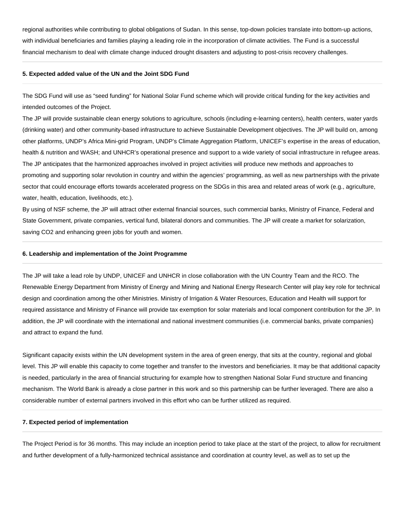regional authorities while contributing to global obligations of Sudan. In this sense, top-down policies translate into bottom-up actions, with individual beneficiaries and families playing a leading role in the incorporation of climate activities. The Fund is a successful financial mechanism to deal with climate change induced drought disasters and adjusting to post-crisis recovery challenges.

#### **5. Expected added value of the UN and the Joint SDG Fund**

The SDG Fund will use as "seed funding" for National Solar Fund scheme which will provide critical funding for the key activities and intended outcomes of the Project.

The JP will provide sustainable clean energy solutions to agriculture, schools (including e-learning centers), health centers, water yards (drinking water) and other community-based infrastructure to achieve Sustainable Development objectives. The JP will build on, among other platforms, UNDP's Africa Mini-grid Program, UNDP's Climate Aggregation Platform, UNICEF's expertise in the areas of education, health & nutrition and WASH; and UNHCR's operational presence and support to a wide variety of social infrastructure in refugee areas. The JP anticipates that the harmonized approaches involved in project activities will produce new methods and approaches to promoting and supporting solar revolution in country and within the agencies' programming, as well as new partnerships with the private sector that could encourage efforts towards accelerated progress on the SDGs in this area and related areas of work (e.g., agriculture, water, health, education, livelihoods, etc.).

By using of NSF scheme, the JP will attract other external financial sources, such commercial banks, Ministry of Finance, Federal and State Government, private companies, vertical fund, bilateral donors and communities. The JP will create a market for solarization, saving CO2 and enhancing green jobs for youth and women.

#### **6. Leadership and implementation of the Joint Programme**

The JP will take a lead role by UNDP, UNICEF and UNHCR in close collaboration with the UN Country Team and the RCO. The Renewable Energy Department from Ministry of Energy and Mining and National Energy Research Center will play key role for technical design and coordination among the other Ministries. Ministry of Irrigation & Water Resources, Education and Health will support for required assistance and Ministry of Finance will provide tax exemption for solar materials and local component contribution for the JP. In addition, the JP will coordinate with the international and national investment communities (i.e. commercial banks, private companies) and attract to expand the fund.

Significant capacity exists within the UN development system in the area of green energy, that sits at the country, regional and global level. This JP will enable this capacity to come together and transfer to the investors and beneficiaries. It may be that additional capacity is needed, particularly in the area of financial structuring for example how to strengthen National Solar Fund structure and financing mechanism. The World Bank is already a close partner in this work and so this partnership can be further leveraged. There are also a considerable number of external partners involved in this effort who can be further utilized as required.

#### **7. Expected period of implementation**

The Project Period is for 36 months. This may include an inception period to take place at the start of the project, to allow for recruitment and further development of a fully-harmonized technical assistance and coordination at country level, as well as to set up the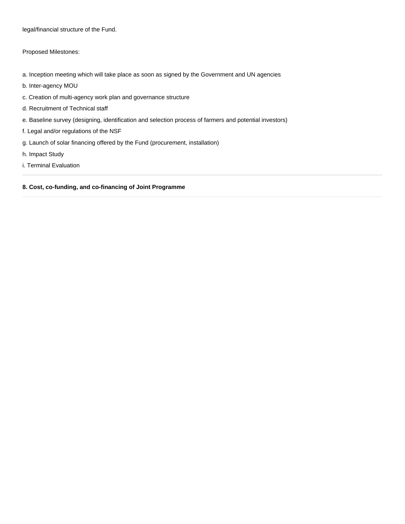legal/financial structure of the Fund.

Proposed Milestones:

- a. Inception meeting which will take place as soon as signed by the Government and UN agencies
- b. Inter-agency MOU
- c. Creation of multi-agency work plan and governance structure
- d. Recruitment of Technical staff
- e. Baseline survey (designing, identification and selection process of farmers and potential investors)
- f. Legal and/or regulations of the NSF
- g. Launch of solar financing offered by the Fund (procurement, installation)
- h. Impact Study
- i. Terminal Evaluation

### **8. Cost, co-funding, and co-financing of Joint Programme**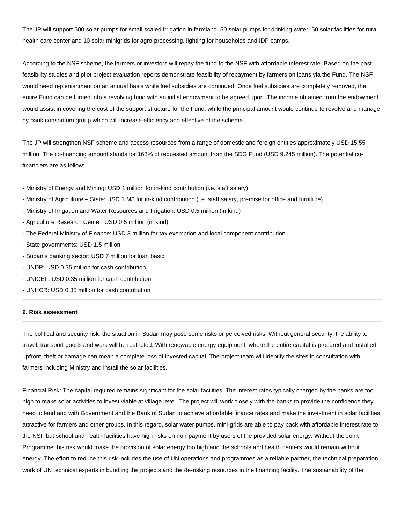The JP will support 500 solar pumps for small scaled irrigation in farmland, 50 solar pumps for drinking water, 50 solar facilities for rural health care center and 10 solar minigrids for agro-processing, lighting for households and IDP camps.

According to the NSF scheme, the farmers or investors will repay the fund to the NSF with affordable interest rate. Based on the past feasibility studies and pilot project evaluation reports demonstrate feasibility of repayment by farmers on loans via the Fund. The NSF would need replenishment on an annual basis while fuel subsidies are continued. Once fuel subsidies are completely removed, the entire Fund can be turned into a revolving fund with an initial endowment to be agreed upon. The income obtained from the endowment would assist in covering the cost of the support structure for the Fund, while the principal amount would continue to revolve and manage by bank consortium group which will increase efficiency and effective of the scheme.

The JP will strengthen NSF scheme and access resources from a range of domestic and foreign entities approximately USD 15.55 million. The co-financing amount stands for 168% of requested amount from the SDG Fund (USD 9.245 million). The potential cofinanciers are as follow:

- Ministry of Energy and Mining: USD 1 million for in-kind contribution (i.e. staff salary)
- Ministry of Agriculture State: USD 1 M\$ for in-kind contribution (i.e. staff salary, premise for office and furniture)
- Ministry of Irrigation and Water Resources and Irrigation: USD 0.5 million (in kind)
- Agriculture Research Center: USD 0.5 million (in kind)
- The Federal Ministry of Finance: USD 3 million for tax exemption and local component contribution
- State governments: USD 1.5 million
- Sudan's banking sector: USD 7 million for loan basic
- UNDP: USD 0.35 million for cash contribution
- UNICEF: USD 0.35 million for cash contribution
- UNHCR: USD 0.35 million for cash contribution

#### **9. Risk assessment**

The political and security risk: the situation in Sudan may pose some risks or perceived risks. Without general security, the ability to travel, transport goods and work will be restricted. With renewable energy equipment, where the entire capital is procured and installed upfront, theft or damage can mean a complete loss of invested capital. The project team will identify the sites in consultation with farmers including Ministry and install the solar facilities.

Financial Risk: The capital required remains significant for the solar facilities. The interest rates typically charged by the banks are too high to make solar activities to invest viable at village level. The project will work closely with the banks to provide the confidence they need to lend and with Government and the Bank of Sudan to achieve affordable finance rates and make the investment in solar facilities attractive for farmers and other groups. In this regard, solar water pumps, mini-grids are able to pay back with affordable interest rate to the NSF but school and health facilities have high risks on non-payment by users of the provided solar energy. Without the Joint Programme this risk would make the provision of solar energy too high and the schools and health centers would remain without energy. The effort to reduce this risk includes the use of UN operations and programmes as a reliable partner, the technical preparation work of UN technical experts in bundling the projects and the de-risking resources in the financing facility. The sustainability of the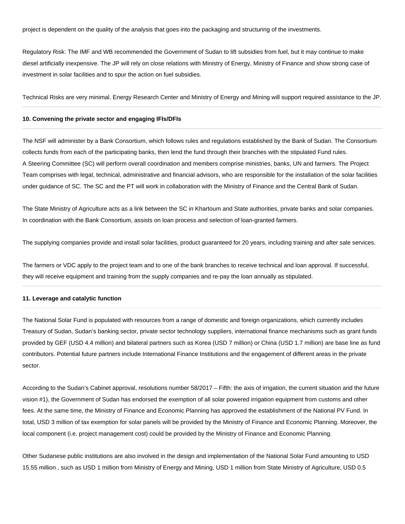project is dependent on the quality of the analysis that goes into the packaging and structuring of the investments.

Regulatory Risk: The IMF and WB recommended the Government of Sudan to lift subsidies from fuel, but it may continue to make diesel artificially inexpensive. The JP will rely on close relations with Ministry of Energy, Ministry of Finance and show strong case of investment in solar facilities and to spur the action on fuel subsidies.

Technical Risks are very minimal. Energy Research Center and Ministry of Energy and Mining will support required assistance to the JP.

#### **10. Convening the private sector and engaging IFIs/DFIs**

The NSF will administer by a Bank Consortium, which follows rules and regulations established by the Bank of Sudan. The Consortium collects funds from each of the participating banks, then lend the fund through their branches with the stipulated Fund rules. A Steering Committee (SC) will perform overall coordination and members comprise ministries, banks, UN and farmers. The Project Team comprises with legal, technical, administrative and financial advisors, who are responsible for the installation of the solar facilities under guidance of SC. The SC and the PT will work in collaboration with the Ministry of Finance and the Central Bank of Sudan.

The State Ministry of Agriculture acts as a link between the SC in Khartoum and State authorities, private banks and solar companies. In coordination with the Bank Consortium, assists on loan process and selection of loan-granted farmers.

The supplying companies provide and install solar facilities, product guaranteed for 20 years, including training and after sale services.

The farmers or VDC apply to the project team and to one of the bank branches to receive technical and loan approval. If successful, they will receive equipment and training from the supply companies and re-pay the loan annually as stipulated.

#### **11. Leverage and catalytic function**

The National Solar Fund is populated with resources from a range of domestic and foreign organizations, which currently includes Treasury of Sudan, Sudan's banking sector, private sector technology suppliers, international finance mechanisms such as grant funds provided by GEF (USD 4.4 million) and bilateral partners such as Korea (USD 7 million) or China (USD 1.7 million) are base line as fund contributors. Potential future partners include International Finance Institutions and the engagement of different areas in the private sector.

According to the Sudan's Cabinet approval, resolutions number 58/2017 – Fifth: the axis of irrigation, the current situation and the future vision #1), the Government of Sudan has endorsed the exemption of all solar powered irrigation equipment from customs and other fees. At the same time, the Ministry of Finance and Economic Planning has approved the establishment of the National PV Fund. In total, USD 3 million of tax exemption for solar panels will be provided by the Ministry of Finance and Economic Planning. Moreover, the local component (i.e. project management cost) could be provided by the Ministry of Finance and Economic Planning.

Other Sudanese public institutions are also involved in the design and implementation of the National Solar Fund amounting to USD 15.55 million , such as USD 1 million from Ministry of Energy and Mining, USD 1 million from State Ministry of Agriculture, USD 0.5